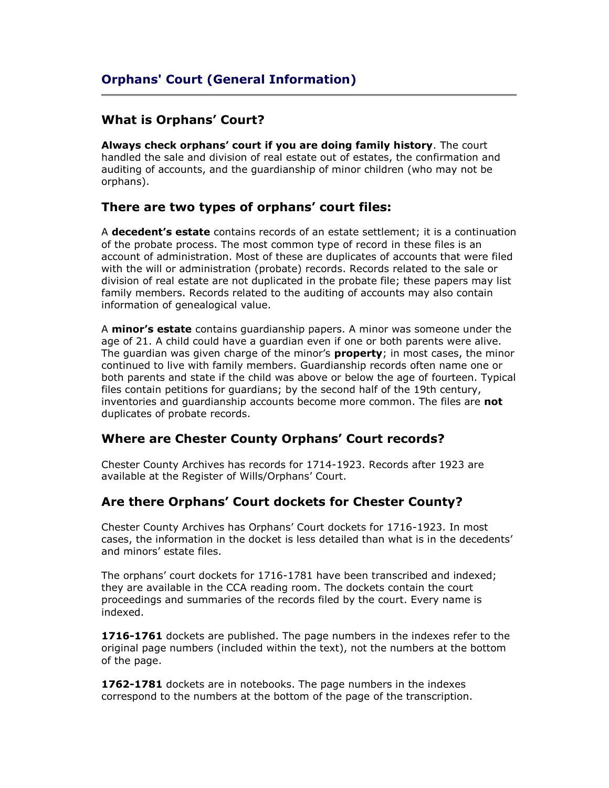## **What is Orphans' Court?**

**Always check orphans' court if you are doing family history**. The court handled the sale and division of real estate out of estates, the confirmation and auditing of accounts, and the guardianship of minor children (who may not be orphans).

## **There are two types of orphans' court files:**

A **decedent's estate** contains records of an estate settlement; it is a continuation of the probate process. The most common type of record in these files is an account of administration. Most of these are duplicates of accounts that were filed with the will or administration (probate) records. Records related to the sale or division of real estate are not duplicated in the probate file; these papers may list family members. Records related to the auditing of accounts may also contain information of genealogical value.

A **minor's estate** contains guardianship papers. A minor was someone under the age of 21. A child could have a guardian even if one or both parents were alive. The guardian was given charge of the minor's **property**; in most cases, the minor continued to live with family members. Guardianship records often name one or both parents and state if the child was above or below the age of fourteen. Typical files contain petitions for guardians; by the second half of the 19th century, inventories and guardianship accounts become more common. The files are **not** duplicates of probate records.

## **Where are Chester County Orphans' Court records?**

Chester County Archives has records for 1714-1923. Records after 1923 are available at the Register of Wills/Orphans' Court.

## **Are there Orphans' Court dockets for Chester County?**

Chester County Archives has Orphans' Court dockets for 1716-1923. In most cases, the information in the docket is less detailed than what is in the decedents' and minors' estate files.

The orphans' court dockets for 1716-1781 have been transcribed and indexed; they are available in the CCA reading room. The dockets contain the court proceedings and summaries of the records filed by the court. Every name is indexed.

**1716-1761** dockets are published. The page numbers in the indexes refer to the original page numbers (included within the text), not the numbers at the bottom of the page.

**1762-1781** dockets are in notebooks. The page numbers in the indexes correspond to the numbers at the bottom of the page of the transcription.